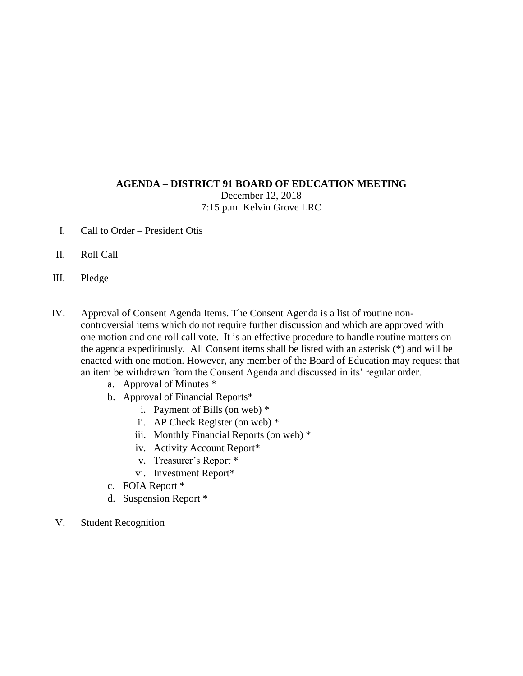## **AGENDA – DISTRICT 91 BOARD OF EDUCATION MEETING**

December 12, 2018 7:15 p.m. Kelvin Grove LRC

- I. Call to Order President Otis
- II. Roll Call
- III. Pledge
- IV. Approval of Consent Agenda Items. The Consent Agenda is a list of routine noncontroversial items which do not require further discussion and which are approved with one motion and one roll call vote. It is an effective procedure to handle routine matters on the agenda expeditiously. All Consent items shall be listed with an asterisk (\*) and will be enacted with one motion. However, any member of the Board of Education may request that an item be withdrawn from the Consent Agenda and discussed in its' regular order.
	- a. Approval of Minutes \*
	- b. Approval of Financial Reports\*
		- i. Payment of Bills (on web) \*
		- ii. AP Check Register (on web) \*
		- iii. Monthly Financial Reports (on web) \*
		- iv. Activity Account Report\*
		- v. Treasurer's Report \*
		- vi. Investment Report\*
	- c. FOIA Report \*
	- d. Suspension Report \*
- V. Student Recognition